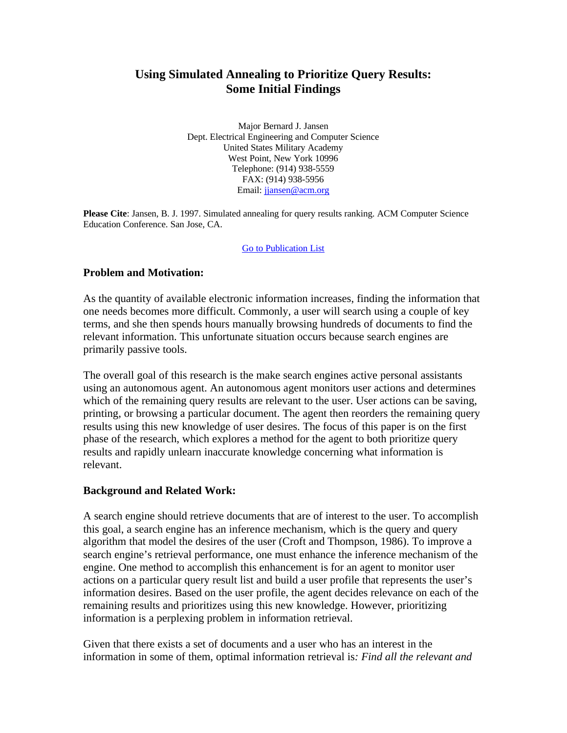# **Using Simulated Annealing to Prioritize Query Results: Some Initial Findings**

Major Bernard J. Jansen Dept. Electrical Engineering and Computer Science United States Military Academy West Point, New York 10996 Telephone: (914) 938-5559 FAX: (914) 938-5956 Email: jjansen@acm.org

**Please Cite**: Jansen, B. J. 1997. Simulated annealing for query results ranking. ACM Computer Science Education Conference. San Jose, CA.

Go to Publication List

# **Problem and Motivation:**

As the quantity of available electronic information increases, finding the information that one needs becomes more difficult. Commonly, a user will search using a couple of key terms, and she then spends hours manually browsing hundreds of documents to find the relevant information. This unfortunate situation occurs because search engines are primarily passive tools.

The overall goal of this research is the make search engines active personal assistants using an autonomous agent. An autonomous agent monitors user actions and determines which of the remaining query results are relevant to the user. User actions can be saving, printing, or browsing a particular document. The agent then reorders the remaining query results using this new knowledge of user desires. The focus of this paper is on the first phase of the research, which explores a method for the agent to both prioritize query results and rapidly unlearn inaccurate knowledge concerning what information is relevant.

### **Background and Related Work:**

A search engine should retrieve documents that are of interest to the user. To accomplish this goal, a search engine has an inference mechanism, which is the query and query algorithm that model the desires of the user (Croft and Thompson, 1986). To improve a search engine's retrieval performance, one must enhance the inference mechanism of the engine. One method to accomplish this enhancement is for an agent to monitor user actions on a particular query result list and build a user profile that represents the user's information desires. Based on the user profile, the agent decides relevance on each of the remaining results and prioritizes using this new knowledge. However, prioritizing information is a perplexing problem in information retrieval.

Given that there exists a set of documents and a user who has an interest in the information in some of them, optimal information retrieval is*: Find all the relevant and*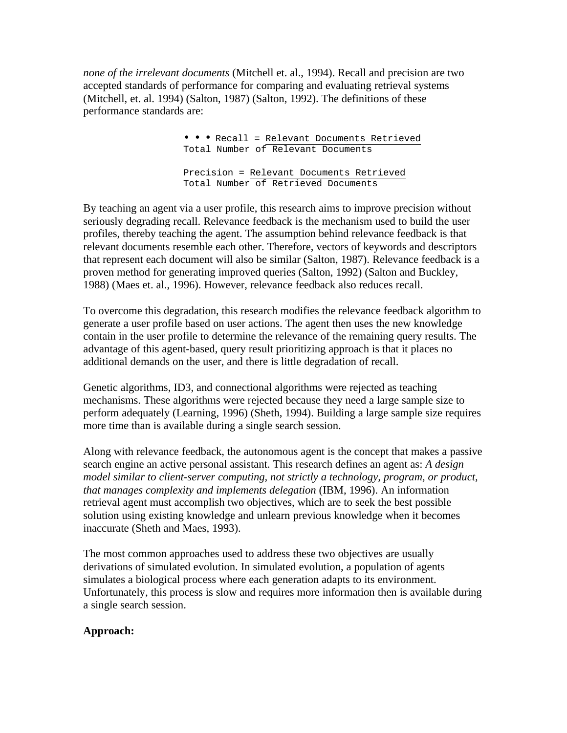*none of the irrelevant documents* (Mitchell et. al., 1994). Recall and precision are two accepted standards of performance for comparing and evaluating retrieval systems (Mitchell, et. al. 1994) (Salton, 1987) (Salton, 1992). The definitions of these performance standards are:

> • • • Recall = Relevant Documents Retrieved Total Number of Relevant Documents Precision = Relevant Documents Retrieved Total Number of Retrieved Documents

By teaching an agent via a user profile, this research aims to improve precision without seriously degrading recall. Relevance feedback is the mechanism used to build the user profiles, thereby teaching the agent. The assumption behind relevance feedback is that relevant documents resemble each other. Therefore, vectors of keywords and descriptors that represent each document will also be similar (Salton, 1987). Relevance feedback is a proven method for generating improved queries (Salton, 1992) (Salton and Buckley, 1988) (Maes et. al., 1996). However, relevance feedback also reduces recall.

To overcome this degradation, this research modifies the relevance feedback algorithm to generate a user profile based on user actions. The agent then uses the new knowledge contain in the user profile to determine the relevance of the remaining query results. The advantage of this agent-based, query result prioritizing approach is that it places no additional demands on the user, and there is little degradation of recall.

Genetic algorithms, ID3, and connectional algorithms were rejected as teaching mechanisms. These algorithms were rejected because they need a large sample size to perform adequately (Learning, 1996) (Sheth, 1994). Building a large sample size requires more time than is available during a single search session.

Along with relevance feedback, the autonomous agent is the concept that makes a passive search engine an active personal assistant. This research defines an agent as: *A design model similar to client-server computing, not strictly a technology, program, or product, that manages complexity and implements delegation* (IBM, 1996). An information retrieval agent must accomplish two objectives, which are to seek the best possible solution using existing knowledge and unlearn previous knowledge when it becomes inaccurate (Sheth and Maes, 1993).

The most common approaches used to address these two objectives are usually derivations of simulated evolution. In simulated evolution, a population of agents simulates a biological process where each generation adapts to its environment. Unfortunately, this process is slow and requires more information then is available during a single search session.

### **Approach:**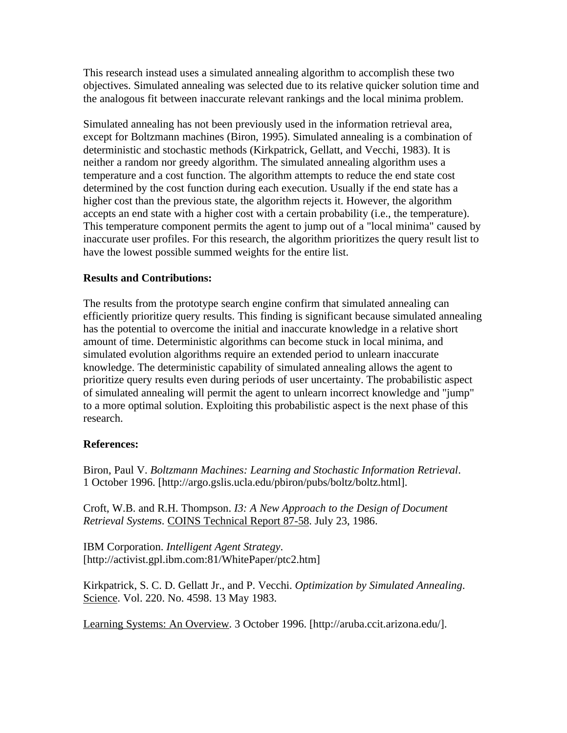This research instead uses a simulated annealing algorithm to accomplish these two objectives. Simulated annealing was selected due to its relative quicker solution time and the analogous fit between inaccurate relevant rankings and the local minima problem.

Simulated annealing has not been previously used in the information retrieval area, except for Boltzmann machines (Biron, 1995). Simulated annealing is a combination of deterministic and stochastic methods (Kirkpatrick, Gellatt, and Vecchi, 1983). It is neither a random nor greedy algorithm. The simulated annealing algorithm uses a temperature and a cost function. The algorithm attempts to reduce the end state cost determined by the cost function during each execution. Usually if the end state has a higher cost than the previous state, the algorithm rejects it. However, the algorithm accepts an end state with a higher cost with a certain probability (i.e., the temperature). This temperature component permits the agent to jump out of a "local minima" caused by inaccurate user profiles. For this research, the algorithm prioritizes the query result list to have the lowest possible summed weights for the entire list.

# **Results and Contributions:**

The results from the prototype search engine confirm that simulated annealing can efficiently prioritize query results. This finding is significant because simulated annealing has the potential to overcome the initial and inaccurate knowledge in a relative short amount of time. Deterministic algorithms can become stuck in local minima, and simulated evolution algorithms require an extended period to unlearn inaccurate knowledge. The deterministic capability of simulated annealing allows the agent to prioritize query results even during periods of user uncertainty. The probabilistic aspect of simulated annealing will permit the agent to unlearn incorrect knowledge and "jump" to a more optimal solution. Exploiting this probabilistic aspect is the next phase of this research.

### **References:**

Biron, Paul V. *Boltzmann Machines: Learning and Stochastic Information Retrieval*. 1 October 1996. [http://argo.gslis.ucla.edu/pbiron/pubs/boltz/boltz.html].

Croft, W.B. and R.H. Thompson. *I3: A New Approach to the Design of Document Retrieval Systems*. COINS Technical Report 87-58. July 23, 1986.

IBM Corporation. *Intelligent Agent Strategy*. [http://activist.gpl.ibm.com:81/WhitePaper/ptc2.htm]

Kirkpatrick, S. C. D. Gellatt Jr., and P. Vecchi. *Optimization by Simulated Annealing*. Science. Vol. 220. No. 4598. 13 May 1983.

Learning Systems: An Overview. 3 October 1996. [http://aruba.ccit.arizona.edu/].